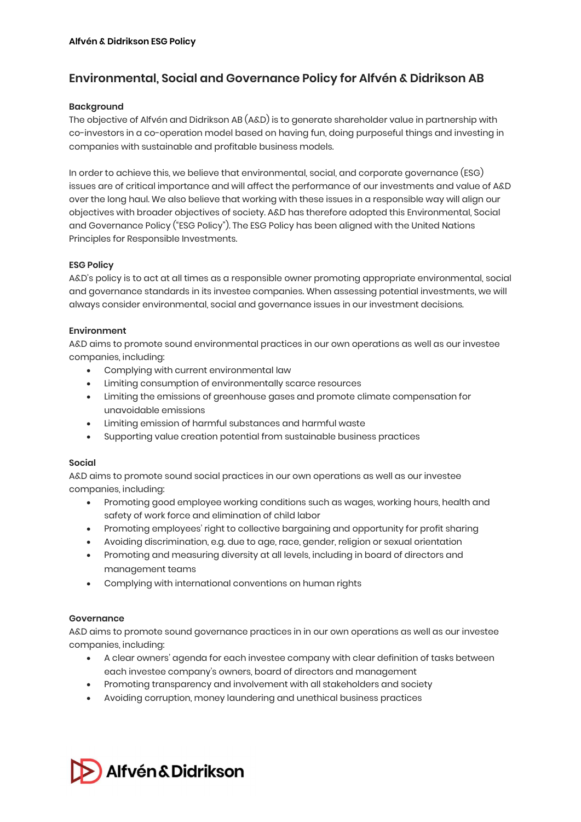# Environmental, Social and Governance Policy for Alfvén & Didrikson AB

## **Backaround**

The objective of Alfvén and Didrikson AB (A&D) is to generate shareholder value in partnership with co-investors in a co-operation model based on having fun, doing purposeful things and investing in companies with sustainable and profitable business models.

In order to achieve this, we believe that environmental, social, and corporate governance (ESG) issues are of critical importance and will affect the performance of our investments and value of A&D over the long haul. We also believe that working with these issues in a responsible way will align our objectives with broader objectives of society. A&D has therefore adopted this Environmental, Social and Governance Policy ("ESG Policy"). The ESG Policy has been aligned with the United Nations Principles for Responsible Investments.

## ESG Policy

A&D's policy is to act at all times as a responsible owner promoting appropriate environmental, social and governance standards in its investee companies. When assessing potential investments, we will always consider environmental, social and governance issues in our investment decisions.

## Environment

A&D aims to promote sound environmental practices in our own operations as well as our investee companies, including:

- Complying with current environmental law
- Limiting consumption of environmentally scarce resources
- Limiting the emissions of greenhouse gases and promote climate compensation for unavoidable emissions
- Limiting emission of harmful substances and harmful waste
- Supporting value creation potential from sustainable business practices

# Social

A&D aims to promote sound social practices in our own operations as well as our investee companies, including:

- Promoting good employee working conditions such as wages, working hours, health and safety of work force and elimination of child labor
- Promoting employees' right to collective bargaining and opportunity for profit sharing
- Avoiding discrimination, e.g. due to age, race, gender, religion or sexual orientation
- Promoting and measuring diversity at all levels, including in board of directors and management teams
- Complying with international conventions on human rights

# **Governance**

A&D aims to promote sound governance practices in in our own operations as well as our investee companies, including:

- A clear owners' agenda for each investee company with clear definition of tasks between each investee company's owners, board of directors and management
- Promoting transparency and involvement with all stakeholders and society
- Avoiding corruption, money laundering and unethical business practices